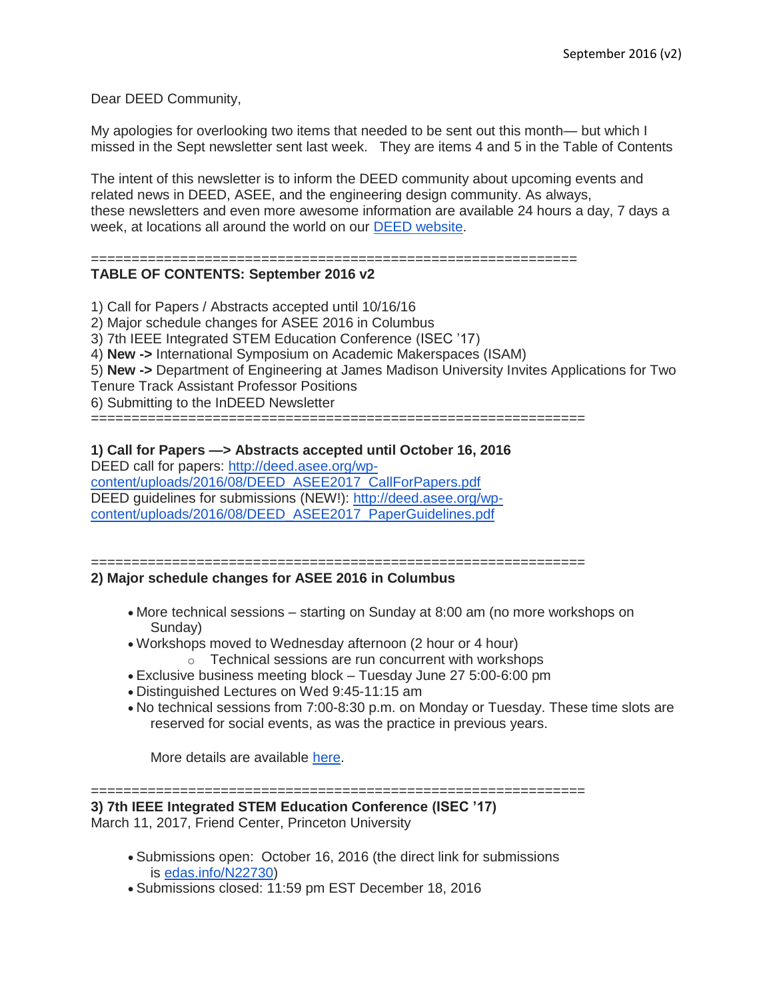Dear DEED Community,

My apologies for overlooking two items that needed to be sent out this month— but which I missed in the Sept newsletter sent last week. They are items 4 and 5 in the Table of Contents

The intent of this newsletter is to inform the DEED community about upcoming events and related news in DEED, ASEE, and the engineering design community. As always, these newsletters and even more awesome information are available 24 hours a day, 7 days a week, at locations all around the world on our [DEED website.](http://deed.asee.org/)

### ============================================================

# **TABLE OF CONTENTS: September 2016 v2**

- 1) Call for Papers / Abstracts accepted until 10/16/16
- 2) Major schedule changes for ASEE 2016 in Columbus
- 3) 7th IEEE Integrated STEM Education Conference (ISEC '17)
- 4) **New ->** International Symposium on Academic Makerspaces (ISAM)
- 5) **New ->** Department of Engineering at James Madison University Invites Applications for Two
- Tenure Track Assistant Professor Positions
- 6) Submitting to the InDEED Newsletter

=============================================================

### **1) Call for Papers —> Abstracts accepted until October 16, 2016**

DEED call for papers: [http://deed.asee.org/wp](http://deed.asee.org/wp-content/uploads/2016/08/DEED_ASEE2017_CallForPapers.pdf)[content/uploads/2016/08/DEED\\_ASEE2017\\_CallForPapers.pdf](http://deed.asee.org/wp-content/uploads/2016/08/DEED_ASEE2017_CallForPapers.pdf) DEED guidelines for submissions (NEW!): [http://deed.asee.org/wp](http://deed.asee.org/wp-content/uploads/2016/08/DEED_ASEE2017_PaperGuidelines.pdf)[content/uploads/2016/08/DEED\\_ASEE2017\\_PaperGuidelines.pdf](http://deed.asee.org/wp-content/uploads/2016/08/DEED_ASEE2017_PaperGuidelines.pdf)

#### ============================================================= **2) Major schedule changes for ASEE 2016 in Columbus**

- More technical sessions starting on Sunday at 8:00 am (no more workshops on Sunday)
- Workshops moved to Wednesday afternoon (2 hour or 4 hour)
	- o Technical sessions are run concurrent with workshops
- Exclusive business meeting block Tuesday June 27 5:00-6:00 pm
- Distinguished Lectures on Wed 9:45-11:15 am
- No technical sessions from 7:00-8:30 p.m. on Monday or Tuesday. These time slots are reserved for social events, as was the practice in previous years.

More details are available [here.](https://www.asee.org/conferences-and-events/conferences/annual-conference/2017/program-schedule)

=============================================================

**3) 7th IEEE Integrated STEM Education Conference (ISEC '17)**

March 11, 2017, Friend Center, Princeton University

- Submissions open: October 16, 2016 (the direct link for submissions is [edas.info/N22730\)](http://edas.info/N22730)
- Submissions closed: 11:59 pm EST December 18, 2016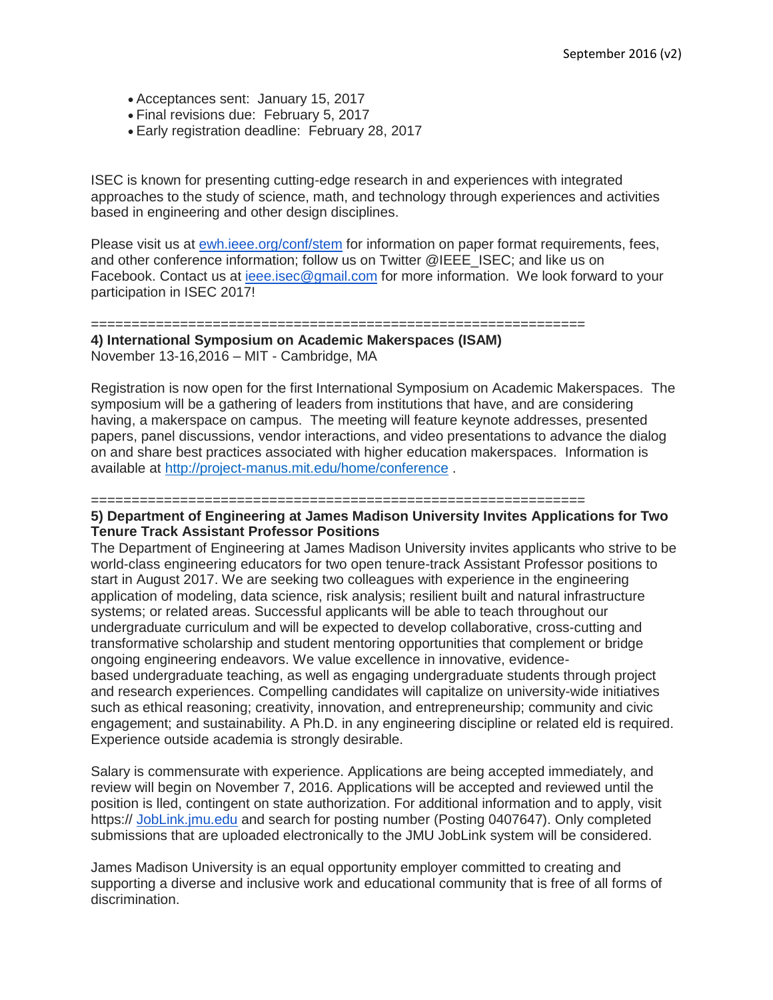- Acceptances sent: January 15, 2017
- Final revisions due: February 5, 2017
- Early registration deadline: February 28, 2017

ISEC is known for presenting cutting-edge research in and experiences with integrated approaches to the study of science, math, and technology through experiences and activities based in engineering and other design disciplines.

Please visit us at [ewh.ieee.org/conf/stem](http://ewh.ieee.org/conf/stem) for information on paper format requirements, fees, and other conference information; follow us on Twitter @IEEE\_ISEC; and like us on Facebook. Contact us at [ieee.isec@gmail.com](mailto:ieee.isec@gmail.com) for more information. We look forward to your participation in ISEC 2017!

#### =============================================================

**4) International Symposium on Academic Makerspaces (ISAM)** November 13-16,2016 – MIT - Cambridge, MA

Registration is now open for the first International Symposium on Academic Makerspaces. The symposium will be a gathering of leaders from institutions that have, and are considering having, a makerspace on campus. The meeting will feature keynote addresses, presented papers, panel discussions, vendor interactions, and video presentations to advance the dialog on and share best practices associated with higher education makerspaces. Information is available at <http://project-manus.mit.edu/home/conference> .

=============================================================

### **5) Department of Engineering at James Madison University Invites Applications for Two Tenure Track Assistant Professor Positions**

The Department of Engineering at James Madison University invites applicants who strive to be world-class engineering educators for two open tenure-track Assistant Professor positions to start in August 2017. We are seeking two colleagues with experience in the engineering application of modeling, data science, risk analysis; resilient built and natural infrastructure systems; or related areas. Successful applicants will be able to teach throughout our undergraduate curriculum and will be expected to develop collaborative, cross-cutting and transformative scholarship and student mentoring opportunities that complement or bridge ongoing engineering endeavors. We value excellence in innovative, evidencebased undergraduate teaching, as well as engaging undergraduate students through project and research experiences. Compelling candidates will capitalize on university-wide initiatives such as ethical reasoning; creativity, innovation, and entrepreneurship; community and civic engagement; and sustainability. A Ph.D. in any engineering discipline or related eld is required. Experience outside academia is strongly desirable.

Salary is commensurate with experience. Applications are being accepted immediately, and review will begin on November 7, 2016. Applications will be accepted and reviewed until the position is lled, contingent on state authorization. For additional information and to apply, visit https:// [JobLink.jmu.edu](http://joblink.jmu.edu/) and search for posting number (Posting 0407647). Only completed submissions that are uploaded electronically to the JMU JobLink system will be considered.

James Madison University is an equal opportunity employer committed to creating and supporting a diverse and inclusive work and educational community that is free of all forms of discrimination.